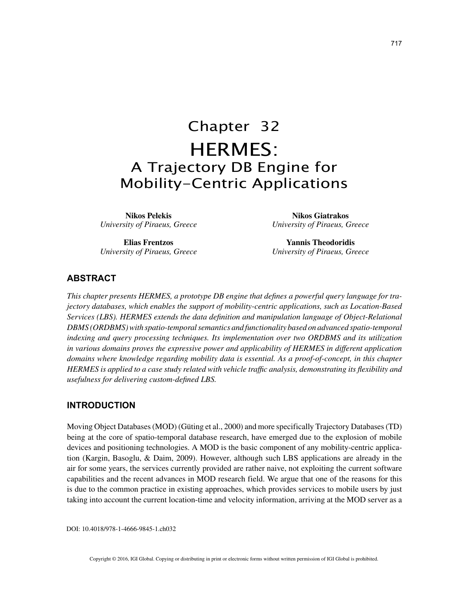# Chapter 32 HERMES: A Trajectory DB Engine for Mobility-Centric Applications

**Nikos Pelekis** *University of Piraeus, Greece*

**Elias Frentzos** *University of Piraeus, Greece*

**Nikos Giatrakos** *University of Piraeus, Greece*

**Yannis Theodoridis** *University of Piraeus, Greece*

## **ABSTRACT**

*This chapter presents HERMES, a prototype DB engine that defines a powerful query language for trajectory databases, which enables the support of mobility-centric applications, such as Location-Based Services (LBS). HERMES extends the data definition and manipulation language of Object-Relational DBMS (ORDBMS) with spatio-temporal semantics and functionality based on advanced spatio-temporal indexing and query processing techniques. Its implementation over two ORDBMS and its utilization in various domains proves the expressive power and applicability of HERMES in different application domains where knowledge regarding mobility data is essential. As a proof-of-concept, in this chapter HERMES is applied to a case study related with vehicle traffic analysis, demonstrating its flexibility and usefulness for delivering custom-defined LBS.*

## **INTRODUCTION**

Moving Object Databases (MOD) (Güting et al., 2000) and more specifically Trajectory Databases (TD) being at the core of spatio-temporal database research, have emerged due to the explosion of mobile devices and positioning technologies. A MOD is the basic component of any mobility-centric application (Kargin, Basoglu, & Daim, 2009). However, although such LBS applications are already in the air for some years, the services currently provided are rather naive, not exploiting the current software capabilities and the recent advances in MOD research field. We argue that one of the reasons for this is due to the common practice in existing approaches, which provides services to mobile users by just taking into account the current location-time and velocity information, arriving at the MOD server as a

DOI: 10.4018/978-1-4666-9845-1.ch032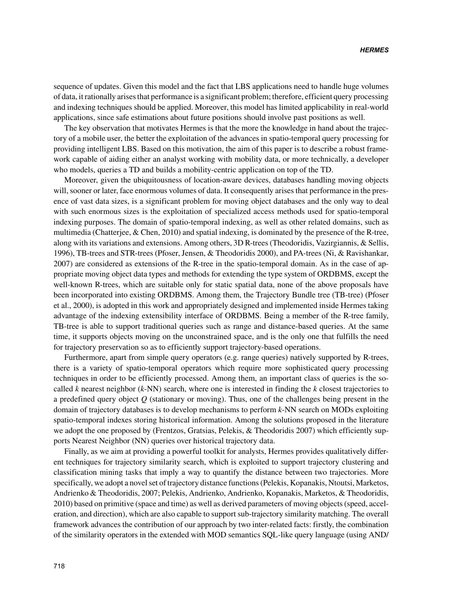sequence of updates. Given this model and the fact that LBS applications need to handle huge volumes of data, it rationally arises that performance is a significant problem; therefore, efficient query processing and indexing techniques should be applied. Moreover, this model has limited applicability in real-world applications, since safe estimations about future positions should involve past positions as well.

The key observation that motivates Hermes is that the more the knowledge in hand about the trajectory of a mobile user, the better the exploitation of the advances in spatio-temporal query processing for providing intelligent LBS. Based on this motivation, the aim of this paper is to describe a robust framework capable of aiding either an analyst working with mobility data, or more technically, a developer who models, queries a TD and builds a mobility-centric application on top of the TD.

Moreover, given the ubiquitousness of location-aware devices, databases handling moving objects will, sooner or later, face enormous volumes of data. It consequently arises that performance in the presence of vast data sizes, is a significant problem for moving object databases and the only way to deal with such enormous sizes is the exploitation of specialized access methods used for spatio-temporal indexing purposes. The domain of spatio-temporal indexing, as well as other related domains, such as multimedia (Chatterjee, & Chen, 2010) and spatial indexing, is dominated by the presence of the R-tree, along with its variations and extensions. Among others, 3D R-trees (Theodoridis, Vazirgiannis, & Sellis, 1996), TB-trees and STR-trees (Pfoser, Jensen, & Theodoridis 2000), and PA-trees (Ni, & Ravishankar, 2007) are considered as extensions of the R-tree in the spatio-temporal domain. As in the case of appropriate moving object data types and methods for extending the type system of ORDBMS, except the well-known R-trees, which are suitable only for static spatial data, none of the above proposals have been incorporated into existing ORDBMS. Among them, the Trajectory Bundle tree (TB-tree) (Pfoser et al., 2000), is adopted in this work and appropriately designed and implemented inside Hermes taking advantage of the indexing extensibility interface of ORDBMS. Being a member of the R-tree family, TB-tree is able to support traditional queries such as range and distance-based queries. At the same time, it supports objects moving on the unconstrained space, and is the only one that fulfills the need for trajectory preservation so as to efficiently support trajectory-based operations.

Furthermore, apart from simple query operators (e.g. range queries) natively supported by R-trees, there is a variety of spatio-temporal operators which require more sophisticated query processing techniques in order to be efficiently processed. Among them, an important class of queries is the socalled *k* nearest neighbor (*k*-NN) search, where one is interested in finding the *k* closest trajectories to a predefined query object *Q* (stationary or moving). Thus, one of the challenges being present in the domain of trajectory databases is to develop mechanisms to perform *k*-NN search on MODs exploiting spatio-temporal indexes storing historical information. Among the solutions proposed in the literature we adopt the one proposed by (Frentzos, Gratsias, Pelekis, & Theodoridis 2007) which efficiently supports Nearest Neighbor (NN) queries over historical trajectory data.

Finally, as we aim at providing a powerful toolkit for analysts, Hermes provides qualitatively different techniques for trajectory similarity search, which is exploited to support trajectory clustering and classification mining tasks that imply a way to quantify the distance between two trajectories. More specifically, we adopt a novel set of trajectory distance functions (Pelekis, Kopanakis, Ntoutsi, Marketos, Andrienko & Theodoridis, 2007; Pelekis, Andrienko, Andrienko, Kopanakis, Marketos, & Theodoridis, 2010) based on primitive (space and time) as well as derived parameters of moving objects (speed, acceleration, and direction), which are also capable to support sub-trajectory similarity matching. The overall framework advances the contribution of our approach by two inter-related facts: firstly, the combination of the similarity operators in the extended with MOD semantics SQL-like query language (using AND/